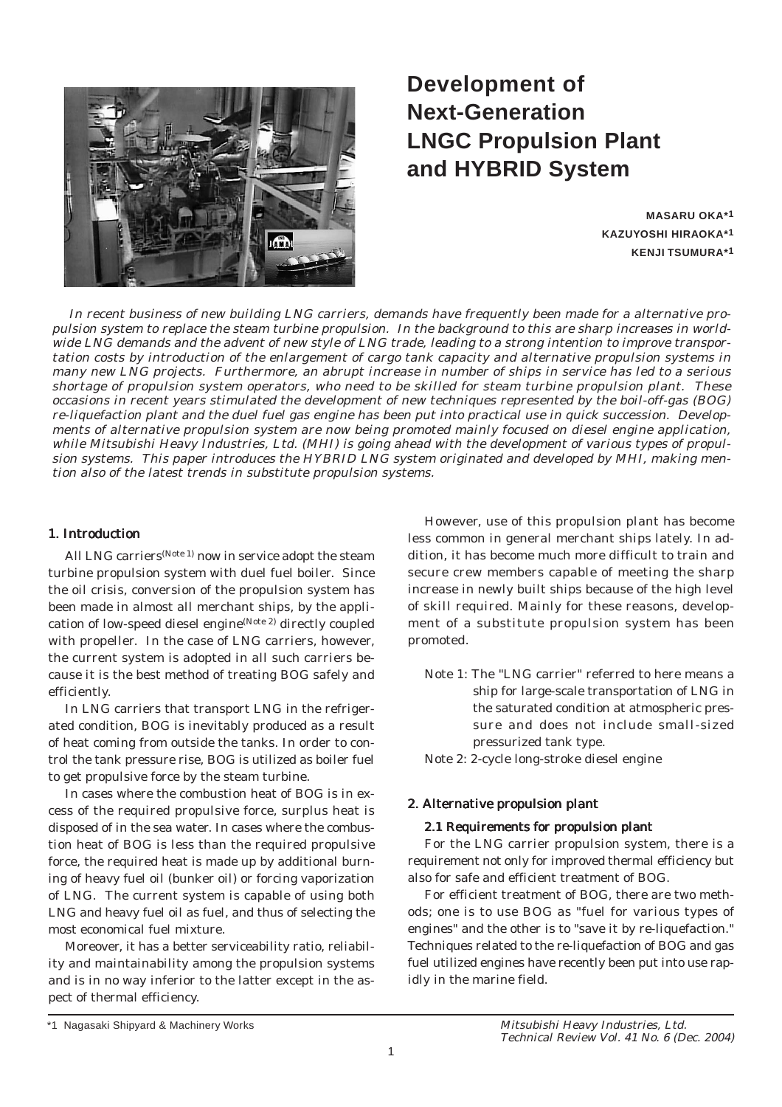

# **Development of Next-Generation LNGC Propulsion Plant and HYBRID System**

**MASARU OKA\*1 KAZUYOSHI HIRAOKA\*1 KENJI TSUMURA\*1**

In recent business of new building LNG carriers, demands have frequently been made for a alternative propulsion system to replace the steam turbine propulsion. In the background to this are sharp increases in worldwide LNG demands and the advent of new style of LNG trade, leading to a strong intention to improve transportation costs by introduction of the enlargement of cargo tank capacity and alternative propulsion systems in many new LNG projects. Furthermore, an abrupt increase in number of ships in service has led to a serious shortage of propulsion system operators, who need to be skilled for steam turbine propulsion plant. These occasions in recent years stimulated the development of new techniques represented by the boil-off-gas (BOG) re-liquefaction plant and the duel fuel gas engine has been put into practical use in quick succession. Developments of alternative propulsion system are now being promoted mainly focused on diesel engine application, while Mitsubishi Heavy Industries, Ltd. (MHI) is going ahead with the development of various types of propulsion systems. This paper introduces the HYBRID LNG system originated and developed by MHI, making mention also of the latest trends in substitute propulsion systems.

### 1. Introduction

All LNG carriers<sup>(Note 1)</sup> now in service adopt the steam turbine propulsion system with duel fuel boiler. Since the oil crisis, conversion of the propulsion system has been made in almost all merchant ships, by the application of low-speed diesel engine(Note 2) directly coupled with propeller. In the case of LNG carriers, however, the current system is adopted in all such carriers because it is the best method of treating BOG safely and efficiently.

In LNG carriers that transport LNG in the refrigerated condition, BOG is inevitably produced as a result of heat coming from outside the tanks. In order to control the tank pressure rise, BOG is utilized as boiler fuel to get propulsive force by the steam turbine.

In cases where the combustion heat of BOG is in excess of the required propulsive force, surplus heat is disposed of in the sea water. In cases where the combustion heat of BOG is less than the required propulsive force, the required heat is made up by additional burning of heavy fuel oil (bunker oil) or forcing vaporization of LNG. The current system is capable of using both LNG and heavy fuel oil as fuel, and thus of selecting the most economical fuel mixture.

Moreover, it has a better serviceability ratio, reliability and maintainability among the propulsion systems and is in no way inferior to the latter except in the aspect of thermal efficiency.

However, use of this propulsion plant has become less common in general merchant ships lately. In addition, it has become much more difficult to train and secure crew members capable of meeting the sharp increase in newly built ships because of the high level of skill required. Mainly for these reasons, development of a substitute propulsion system has been promoted.

Note 1: The "LNG carrier" referred to here means a ship for large-scale transportation of LNG in the saturated condition at atmospheric pressure and does not include small-sized pressurized tank type.

Note 2: 2-cycle long-stroke diesel engine

# 2. Alternative propulsion plant

### 2.1 Requirements for propulsion plant

For the LNG carrier propulsion system, there is a requirement not only for improved thermal efficiency but also for safe and efficient treatment of BOG.

For efficient treatment of BOG, there are two methods; one is to use BOG as "fuel for various types of engines" and the other is to "save it by re-liquefaction." Techniques related to the re-liquefaction of BOG and gas fuel utilized engines have recently been put into use rapidly in the marine field.

<sup>\*1</sup> Nagasaki Shipyard & Machinery Works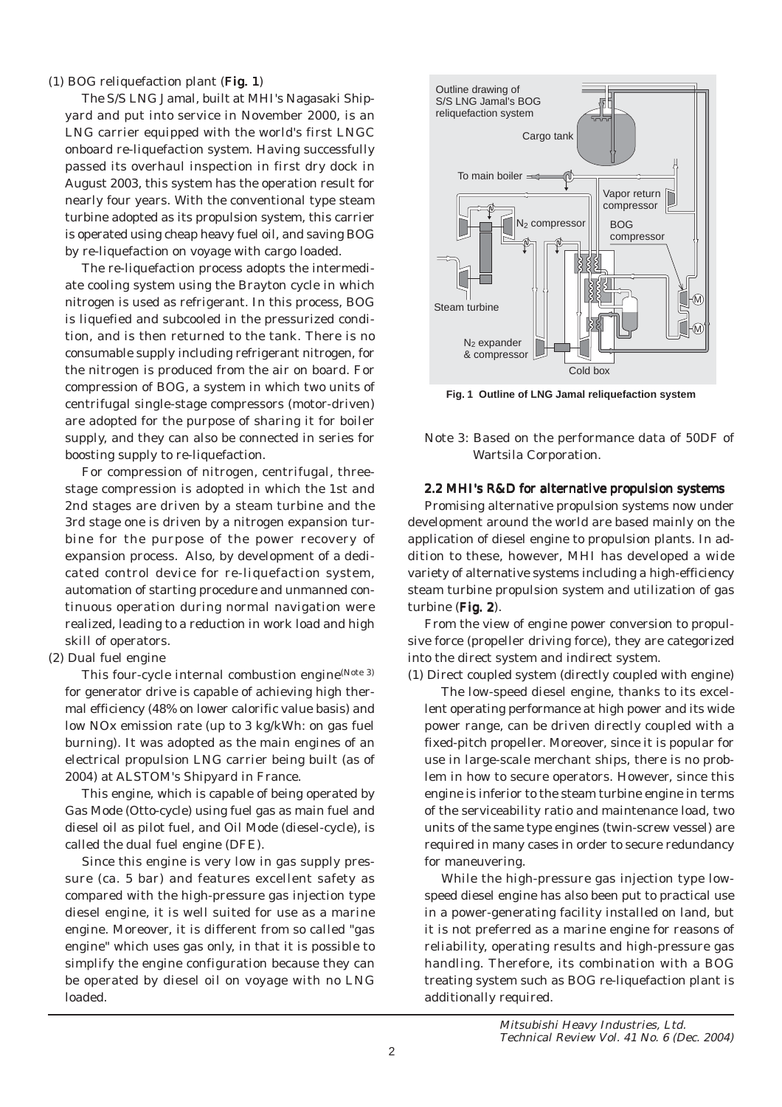### (1) BOG reliquefaction plant (Fig. 1)

The S/S LNG Jamal, built at MHI's Nagasaki Shipyard and put into service in November 2000, is an LNG carrier equipped with the world's first LNGC onboard re-liquefaction system. Having successfully passed its overhaul inspection in first dry dock in August 2003, this system has the operation result for nearly four years. With the conventional type steam turbine adopted as its propulsion system, this carrier is operated using cheap heavy fuel oil, and saving BOG by re-liquefaction on voyage with cargo loaded.

The re-liquefaction process adopts the intermediate cooling system using the Brayton cycle in which nitrogen is used as refrigerant. In this process, BOG is liquefied and subcooled in the pressurized condition, and is then returned to the tank. There is no consumable supply including refrigerant nitrogen, for the nitrogen is produced from the air on board. For compression of BOG, a system in which two units of centrifugal single-stage compressors (motor-driven) are adopted for the purpose of sharing it for boiler supply, and they can also be connected in series for boosting supply to re-liquefaction.

For compression of nitrogen, centrifugal, threestage compression is adopted in which the 1st and 2nd stages are driven by a steam turbine and the 3rd stage one is driven by a nitrogen expansion turbine for the purpose of the power recovery of expansion process. Also, by development of a dedicated control device for re-liquefaction system, automation of starting procedure and unmanned continuous operation during normal navigation were realized, leading to a reduction in work load and high skill of operators.

### (2) Dual fuel engine

This four-cycle internal combustion engine<sup>(Note 3)</sup> for generator drive is capable of achieving high thermal efficiency (48% on lower calorific value basis) and low NOx emission rate (up to 3 kg/kWh: on gas fuel burning). It was adopted as the main engines of an electrical propulsion LNG carrier being built (as of 2004) at ALSTOM's Shipyard in France.

This engine, which is capable of being operated by Gas Mode (Otto-cycle) using fuel gas as main fuel and diesel oil as pilot fuel, and Oil Mode (diesel-cycle), is called the dual fuel engine (DFE).

Since this engine is very low in gas supply pressure (ca. 5 bar) and features excellent safety as compared with the high-pressure gas injection type diesel engine, it is well suited for use as a marine engine. Moreover, it is different from so called "gas engine" which uses gas only, in that it is possible to simplify the engine configuration because they can be operated by diesel oil on voyage with no LNG loaded.



**Fig. 1 Outline of LNG Jamal reliquefaction system**

Note 3: Based on the performance data of 50DF of Wartsila Corporation.

## 2.2 MHI's R&D for alternative propulsion systems

Promising alternative propulsion systems now under development around the world are based mainly on the application of diesel engine to propulsion plants. In addition to these, however, MHI has developed a wide variety of alternative systems including a high-efficiency steam turbine propulsion system and utilization of gas turbine  $(Fig. 2)$ .

From the view of engine power conversion to propulsive force (propeller driving force), they are categorized into the direct system and indirect system.

(1) Direct coupled system (directly coupled with engine)

The low-speed diesel engine, thanks to its excellent operating performance at high power and its wide power range, can be driven directly coupled with a fixed-pitch propeller. Moreover, since it is popular for use in large-scale merchant ships, there is no problem in how to secure operators. However, since this engine is inferior to the steam turbine engine in terms of the serviceability ratio and maintenance load, two units of the same type engines (twin-screw vessel) are required in many cases in order to secure redundancy for maneuvering.

While the high-pressure gas injection type lowspeed diesel engine has also been put to practical use in a power-generating facility installed on land, but it is not preferred as a marine engine for reasons of reliability, operating results and high-pressure gas handling. Therefore, its combination with a BOG treating system such as BOG re-liquefaction plant is additionally required.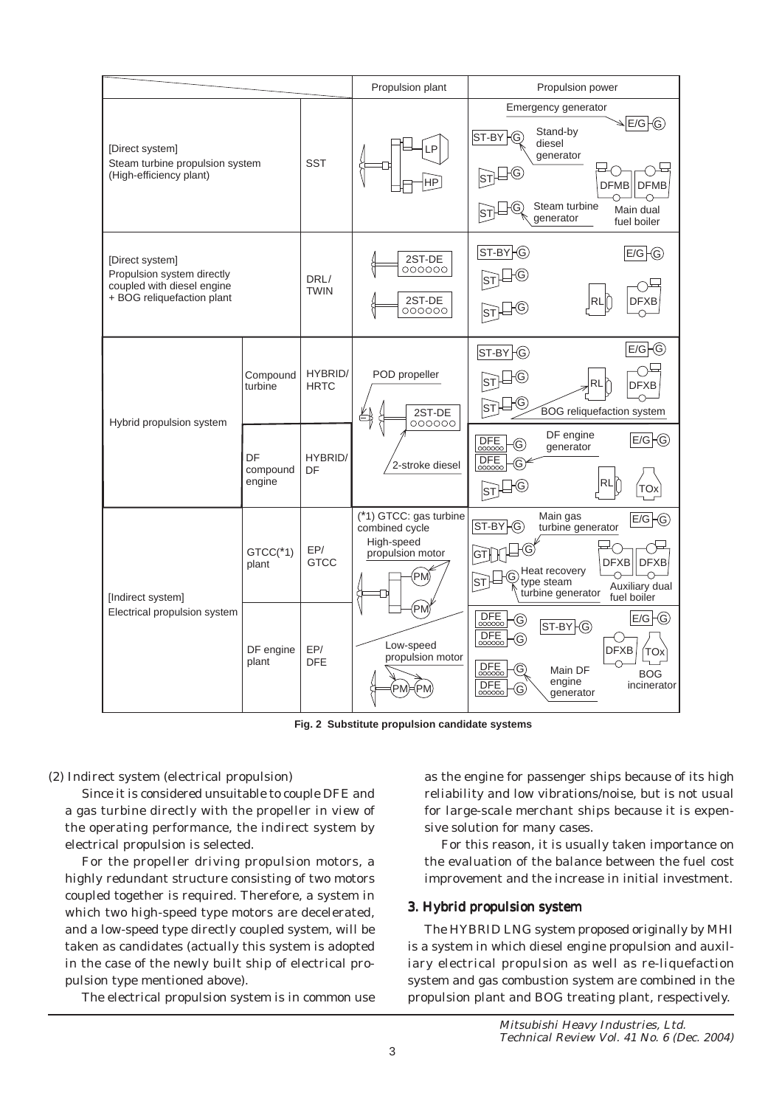

**Fig. 2 Substitute propulsion candidate systems**

(2) Indirect system (electrical propulsion)

Since it is considered unsuitable to couple DFE and a gas turbine directly with the propeller in view of the operating performance, the indirect system by electrical propulsion is selected.

For the propeller driving propulsion motors, a highly redundant structure consisting of two motors coupled together is required. Therefore, a system in which two high-speed type motors are decelerated, and a low-speed type directly coupled system, will be taken as candidates (actually this system is adopted in the case of the newly built ship of electrical propulsion type mentioned above).

The electrical propulsion system is in common use

as the engine for passenger ships because of its high reliability and low vibrations/noise, but is not usual for large-scale merchant ships because it is expensive solution for many cases.

For this reason, it is usually taken importance on the evaluation of the balance between the fuel cost improvement and the increase in initial investment.

# 3. Hybrid propulsion system

The HYBRID LNG system proposed originally by MHI is a system in which diesel engine propulsion and auxiliary electrical propulsion as well as re-liquefaction system and gas combustion system are combined in the propulsion plant and BOG treating plant, respectively.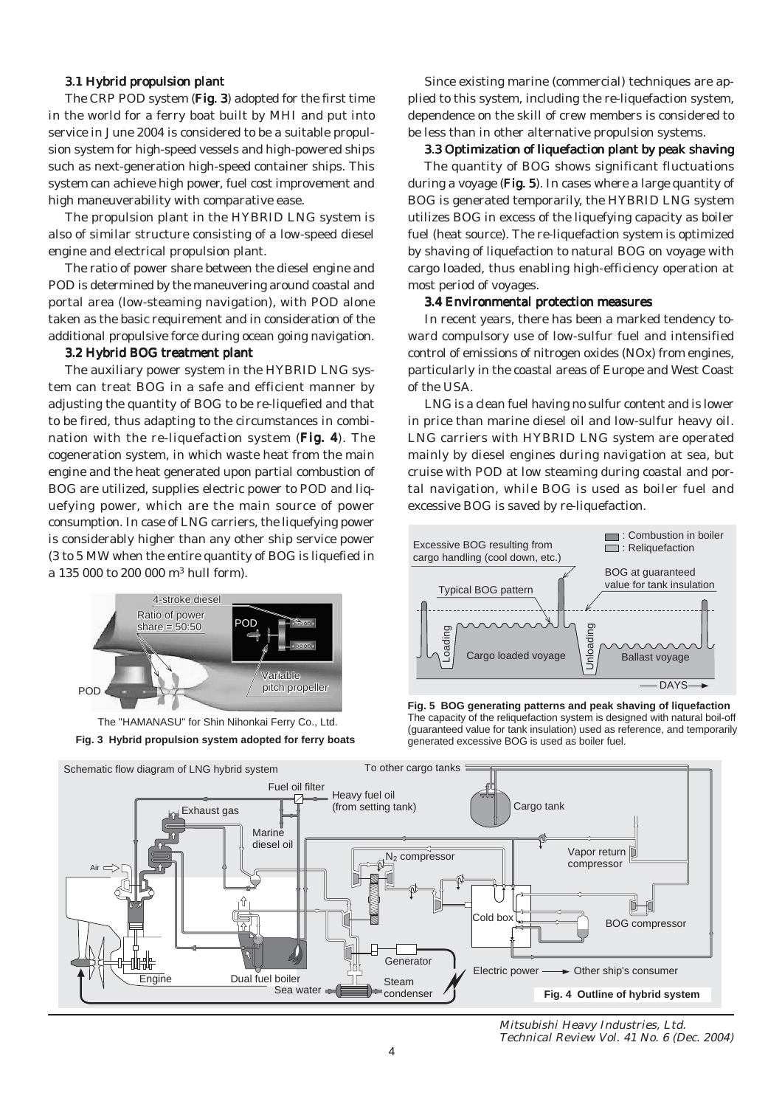### 3.1 Hybrid propulsion plant

The CRP POD system (Fig. 3) adopted for the first time in the world for a ferry boat built by MHI and put into service in June 2004 is considered to be a suitable propulsion system for high-speed vessels and high-powered ships such as next-generation high-speed container ships. This system can achieve high power, fuel cost improvement and high maneuverability with comparative ease.

The propulsion plant in the HYBRID LNG system is also of similar structure consisting of a low-speed diesel engine and electrical propulsion plant.

The ratio of power share between the diesel engine and POD is determined by the maneuvering around coastal and portal area (low-steaming navigation), with POD alone taken as the basic requirement and in consideration of the additional propulsive force during ocean going navigation.

#### 3.2 Hybrid BOG treatment plant

The auxiliary power system in the HYBRID LNG system can treat BOG in a safe and efficient manner by adjusting the quantity of BOG to be re-liquefied and that to be fired, thus adapting to the circumstances in combination with the re-liquefaction system (Fig. 4). The cogeneration system, in which waste heat from the main engine and the heat generated upon partial combustion of BOG are utilized, supplies electric power to POD and liquefying power, which are the main source of power consumption. In case of LNG carriers, the liquefying power is considerably higher than any other ship service power (3 to 5 MW when the entire quantity of BOG is liquefied in a 135 000 to 200 000 m3 hull form).





Since existing marine (commercial) techniques are applied to this system, including the re-liquefaction system, dependence on the skill of crew members is considered to be less than in other alternative propulsion systems.

#### 3.3 Optimization of liquefaction plant by peak shaving

The quantity of BOG shows significant fluctuations during a voyage  $(Fig. 5)$ . In cases where a large quantity of BOG is generated temporarily, the HYBRID LNG system utilizes BOG in excess of the liquefying capacity as boiler fuel (heat source). The re-liquefaction system is optimized by shaving of liquefaction to natural BOG on voyage with cargo loaded, thus enabling high-efficiency operation at most period of voyages.

#### 3.4 Environmental protection measures

In recent years, there has been a marked tendency toward compulsory use of low-sulfur fuel and intensified control of emissions of nitrogen oxides (NOx) from engines, particularly in the coastal areas of Europe and West Coast of the USA.

LNG is a clean fuel having no sulfur content and is lower in price than marine diesel oil and low-sulfur heavy oil. LNG carriers with HYBRID LNG system are operated mainly by diesel engines during navigation at sea, but cruise with POD at low steaming during coastal and portal navigation, while BOG is used as boiler fuel and excessive BOG is saved by re-liquefaction.



**Fig. 5 BOG generating patterns and peak shaving of liquefaction** The capacity of the reliquefaction system is designed with natural boil-off (guaranteed value for tank insulation) used as reference, and temporarily generated excessive BOG is used as boiler fuel.



Mitsubishi Heavy Industries, Ltd. Technical Review Vol. 41 No. 6 (Dec. 2004)